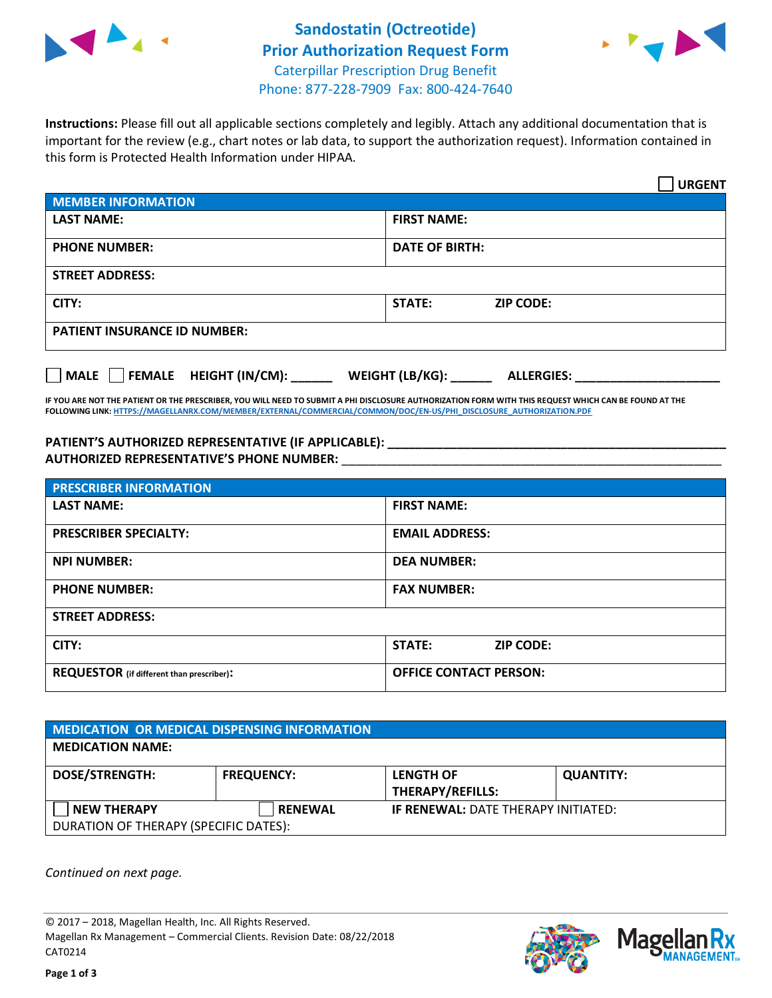



**Instructions:** Please fill out all applicable sections completely and legibly. Attach any additional documentation that is important for the review (e.g., chart notes or lab data, to support the authorization request). Information contained in this form is Protected Health Information under HIPAA.

|                                     | <b>URGENT</b>                        |  |  |  |
|-------------------------------------|--------------------------------------|--|--|--|
| <b>MEMBER INFORMATION</b>           |                                      |  |  |  |
| <b>LAST NAME:</b>                   | <b>FIRST NAME:</b>                   |  |  |  |
| <b>PHONE NUMBER:</b>                | <b>DATE OF BIRTH:</b>                |  |  |  |
| <b>STREET ADDRESS:</b>              |                                      |  |  |  |
| CITY:                               | STATE:<br><b>ZIP CODE:</b>           |  |  |  |
| <b>PATIENT INSURANCE ID NUMBER:</b> |                                      |  |  |  |
| FEMALE HEIGHT (IN/CM):<br>  MALE    | WEIGHT (LB/KG):<br><b>ALLERGIES:</b> |  |  |  |

**IF YOU ARE NOT THE PATIENT OR THE PRESCRIBER, YOU WILL NEED TO SUBMIT A PHI DISCLOSURE AUTHORIZATION FORM WITH THIS REQUEST WHICH CAN BE FOUND AT THE FOLLOWING LINK[: HTTPS://MAGELLANRX.COM/MEMBER/EXTERNAL/COMMERCIAL/COMMON/DOC/EN-US/PHI\\_DISCLOSURE\\_AUTHORIZATION.PDF](https://magellanrx.com/member/external/commercial/common/doc/en-us/PHI_Disclosure_Authorization.pdf)**

PATIENT'S AUTHORIZED REPRESENTATIVE (IF APPLICABLE): **AUTHORIZED REPRESENTATIVE'S PHONE NUMBER:** \_\_\_\_\_\_\_\_\_\_\_\_\_\_\_\_\_\_\_\_\_\_\_\_\_\_\_\_\_\_\_\_\_\_\_\_\_\_\_\_\_\_\_\_\_\_\_\_\_\_\_\_\_\_\_

| <b>PRESCRIBER INFORMATION</b>             |                               |  |
|-------------------------------------------|-------------------------------|--|
| <b>LAST NAME:</b>                         | <b>FIRST NAME:</b>            |  |
| <b>PRESCRIBER SPECIALTY:</b>              | <b>EMAIL ADDRESS:</b>         |  |
| <b>NPI NUMBER:</b>                        | <b>DEA NUMBER:</b>            |  |
| <b>PHONE NUMBER:</b>                      | <b>FAX NUMBER:</b>            |  |
| <b>STREET ADDRESS:</b>                    |                               |  |
| CITY:                                     | STATE:<br><b>ZIP CODE:</b>    |  |
| REQUESTOR (if different than prescriber): | <b>OFFICE CONTACT PERSON:</b> |  |

| <b>MEDICATION OR MEDICAL DISPENSING INFORMATION</b> |                   |                                            |                  |  |  |
|-----------------------------------------------------|-------------------|--------------------------------------------|------------------|--|--|
| <b>MEDICATION NAME:</b>                             |                   |                                            |                  |  |  |
| <b>DOSE/STRENGTH:</b>                               | <b>FREQUENCY:</b> | <b>LENGTH OF</b>                           | <b>QUANTITY:</b> |  |  |
|                                                     |                   | <b>THERAPY/REFILLS:</b>                    |                  |  |  |
| <b>NEW THERAPY</b>                                  | <b>RENEWAL</b>    | <b>IF RENEWAL: DATE THERAPY INITIATED:</b> |                  |  |  |
| DURATION OF THERAPY (SPECIFIC DATES):               |                   |                                            |                  |  |  |

*Continued on next page.*

© 2017 – 2018, Magellan Health, Inc. All Rights Reserved. Magellan Rx Management – Commercial Clients. Revision Date: 08/22/2018 CAT0214



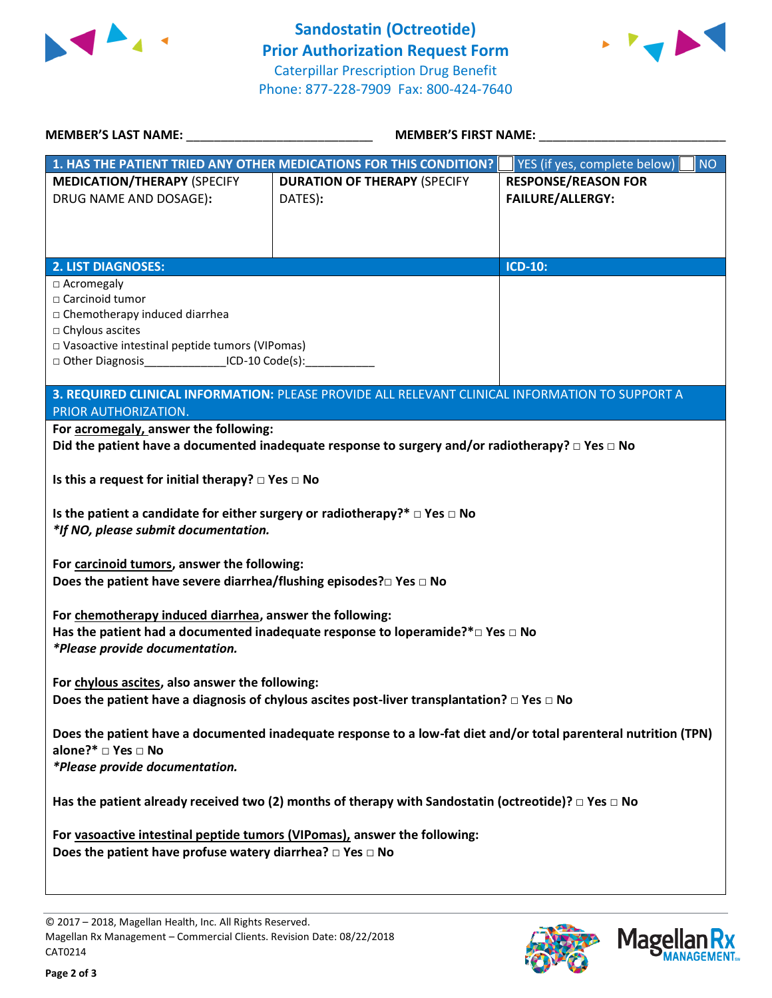



| <b>MEMBER'S LAST NAME:</b>                                                                                                                                                                              | <b>MEMBER'S FIRST NAME:</b>                                                                                |                                                       |  |  |
|---------------------------------------------------------------------------------------------------------------------------------------------------------------------------------------------------------|------------------------------------------------------------------------------------------------------------|-------------------------------------------------------|--|--|
|                                                                                                                                                                                                         | 1. HAS THE PATIENT TRIED ANY OTHER MEDICATIONS FOR THIS CONDITION?                                         | <b>NO</b><br>YES (if yes, complete below)             |  |  |
| <b>MEDICATION/THERAPY (SPECIFY</b><br>DRUG NAME AND DOSAGE):                                                                                                                                            | <b>DURATION OF THERAPY (SPECIFY</b><br>DATES):                                                             | <b>RESPONSE/REASON FOR</b><br><b>FAILURE/ALLERGY:</b> |  |  |
| <b>2. LIST DIAGNOSES:</b>                                                                                                                                                                               |                                                                                                            | <b>ICD-10:</b>                                        |  |  |
| □ Acromegaly<br>□ Carcinoid tumor<br>□ Chemotherapy induced diarrhea<br>□ Chylous ascites<br>□ Vasoactive intestinal peptide tumors (VIPomas)<br>□ Other Diagnosis _____________________ICD-10 Code(s): |                                                                                                            |                                                       |  |  |
| PRIOR AUTHORIZATION.                                                                                                                                                                                    | 3. REQUIRED CLINICAL INFORMATION: PLEASE PROVIDE ALL RELEVANT CLINICAL INFORMATION TO SUPPORT A            |                                                       |  |  |
| For acromegaly, answer the following:                                                                                                                                                                   |                                                                                                            |                                                       |  |  |
|                                                                                                                                                                                                         | Did the patient have a documented inadequate response to surgery and/or radiotherapy? $\Box$ Yes $\Box$ No |                                                       |  |  |
| Is this a request for initial therapy? $\Box$ Yes $\Box$ No<br>Is the patient a candidate for either surgery or radiotherapy?* $\Box$ Yes $\Box$ No<br>*If NO, please submit documentation.             |                                                                                                            |                                                       |  |  |
| For carcinoid tumors, answer the following:<br>Does the patient have severe diarrhea/flushing episodes? $\square$ Yes $\square$ No                                                                      |                                                                                                            |                                                       |  |  |
| For chemotherapy induced diarrhea, answer the following:<br>Has the patient had a documented inadequate response to loperamide?* $\square$ Yes $\square$ No<br>*Please provide documentation.           |                                                                                                            |                                                       |  |  |
| For chylous ascites, also answer the following:<br>Does the patient have a diagnosis of chylous ascites post-liver transplantation? $\square$ Yes $\square$ No                                          |                                                                                                            |                                                       |  |  |
| Does the patient have a documented inadequate response to a low-fat diet and/or total parenteral nutrition (TPN)<br>alone?* □ Yes □ No<br>*Please provide documentation.                                |                                                                                                            |                                                       |  |  |
| Has the patient already received two (2) months of therapy with Sandostatin (octreotide)? $\Box$ Yes $\Box$ No                                                                                          |                                                                                                            |                                                       |  |  |
| For vasoactive intestinal peptide tumors (VIPomas), answer the following:<br>Does the patient have profuse watery diarrhea? $\Box$ Yes $\Box$ No                                                        |                                                                                                            |                                                       |  |  |